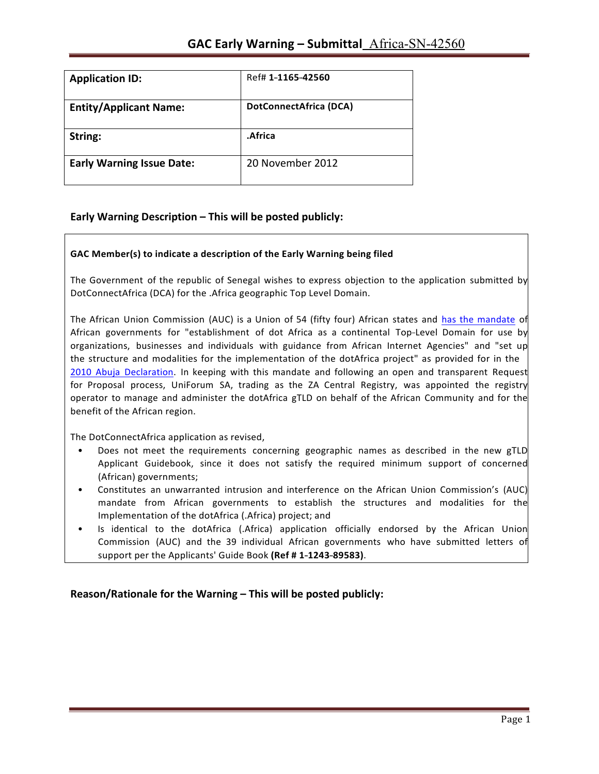| <b>Application ID:</b>           | Ref# 1-1165-42560      |
|----------------------------------|------------------------|
| <b>Entity/Applicant Name:</b>    | DotConnectAfrica (DCA) |
| String:                          | .Africa                |
| <b>Early Warning Issue Date:</b> | 20 November 2012       |

## **Early Warning Description – This will be posted publicly:**

### **GAC Member(s) to indicate a description of the Early Warning being filed**

The Government of the republic of Senegal wishes to express objection to the application submitted by DotConnectAfrica (DCA) for the .Africa geographic Top Level Domain.

The African Union Commission (AUC) is a Union of 54 (fifty four) African states and has the mandate of African governments for "establishment of dot Africa as a continental Top-Level Domain for use by organizations, businesses and individuals with guidance from African Internet Agencies" and "set up the structure and modalities for the implementation of the dotAfrica project" as provided for in the 2010 Abuja Declaration. In keeping with this mandate and following an open and transparent Request for Proposal process, UniForum SA, trading as the ZA Central Registry, was appointed the registry operator to manage and administer the dotAfrica gTLD on behalf of the African Community and for the benefit of the African region.

The DotConnectAfrica application as revised,

- Does not meet the requirements concerning geographic names as described in the new gTLD Applicant Guidebook, since it does not satisfy the required minimum support of concerned (African) governments;
- Constitutes an unwarranted intrusion and interference on the African Union Commission's (AUC) mandate from African governments to establish the structures and modalities for the Implementation of the dotAfrica (.Africa) project; and
- Is identical to the dotAfrica (.Africa) application officially endorsed by the African Union Commission (AUC) and the 39 individual African governments who have submitted letters of support per the Applicants' Guide Book (Ref #1-1243-89583).

Reason/Rationale for the Warning – This will be posted publicly: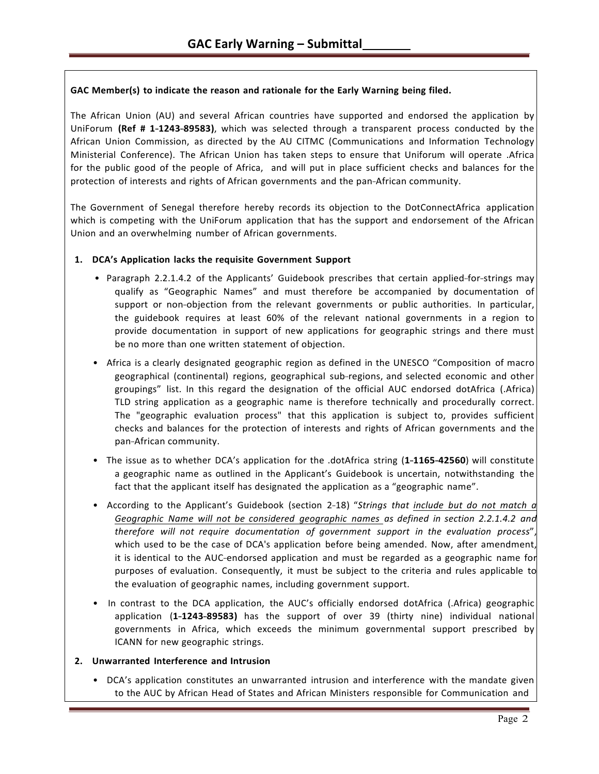### **GAC Member(s) to indicate the reason and rationale for the Early Warning being filed.**

The African Union (AU) and several African countries have supported and endorsed the application by UniForum (Ref # 1-1243-89583), which was selected through a transparent process conducted by the African Union Commission, as directed by the AU CITMC (Communications and Information Technology Ministerial Conference). The African Union has taken steps to ensure that Uniforum will operate .Africa for the public good of the people of Africa, and will put in place sufficient checks and balances for the protection of interests and rights of African governments and the pan-African community.

The Government of Senegal therefore hereby records its objection to the DotConnectAfrica application which is competing with the UniForum application that has the support and endorsement of the African Union and an overwhelming number of African governments.

### **1. DCA's Application lacks the requisite Government Support**

- Paragraph 2.2.1.4.2 of the Applicants' Guidebook prescribes that certain applied-for-strings may qualify as "Geographic Names" and must therefore be accompanied by documentation of support or non-objection from the relevant governments or public authorities. In particular, the guidebook requires at least 60% of the relevant national governments in a region to provide documentation in support of new applications for geographic strings and there must be no more than one written statement of objection.
- Africa is a clearly designated geographic region as defined in the UNESCO "Composition of macro" geographical (continental) regions, geographical sub-regions, and selected economic and other groupings" list. In this regard the designation of the official AUC endorsed dotAfrica (.Africa) TLD string application as a geographic name is therefore technically and procedurally correct. The "geographic evaluation process" that this application is subject to, provides sufficient checks and balances for the protection of interests and rights of African governments and the pan-African community.
- The issue as to whether DCA's application for the .dotAfrica string (1-1165-42560) will constitute a geographic name as outlined in the Applicant's Guidebook is uncertain, notwithstanding the fact that the applicant itself has designated the application as a "geographic name".
- According to the Applicant's Guidebook (section 2-18) "*Strings that include but do not match a Geographic Name will not be considered geographic names as defined in section 2.2.1.4.2 and therefore will not require documentation of government support in the evaluation process*", which used to be the case of DCA's application before being amended. Now, after amendment, it is identical to the AUC-endorsed application and must be regarded as a geographic name for purposes of evaluation. Consequently, it must be subject to the criteria and rules applicable to the evaluation of geographic names, including government support.
- In contrast to the DCA application, the AUC's officially endorsed dotAfrica (.Africa) geographic application (1-1243-89583) has the support of over 39 (thirty nine) individual national governments in Africa, which exceeds the minimum governmental support prescribed by ICANN for new geographic strings.

#### **2. Unwarranted Interference and Intrusion**

• DCA's application constitutes an unwarranted intrusion and interference with the mandate given to the AUC by African Head of States and African Ministers responsible for Communication and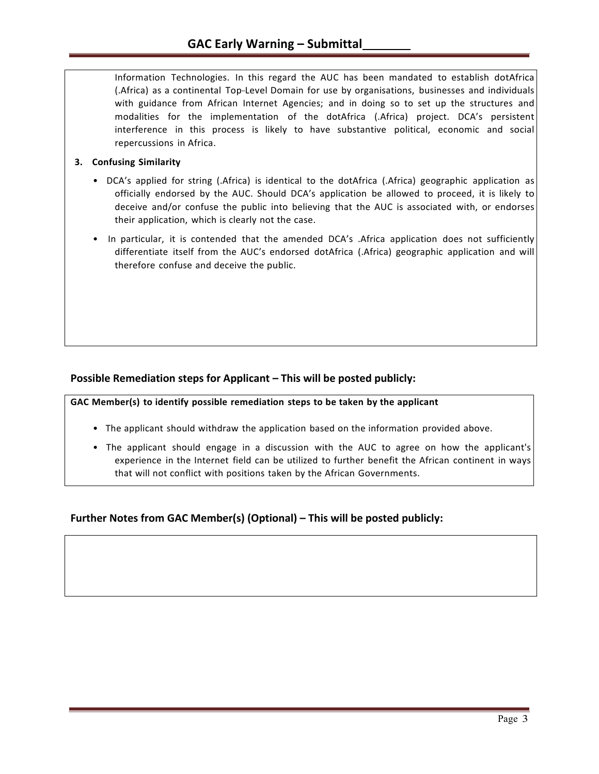Information Technologies. In this regard the AUC has been mandated to establish dotAfrica (.Africa) as a continental Top-Level Domain for use by organisations, businesses and individuals with guidance from African Internet Agencies; and in doing so to set up the structures and modalities for the implementation of the dotAfrica (.Africa) project. DCA's persistent interference in this process is likely to have substantive political, economic and social repercussions in Africa.

### **3. Confusing Similarity**

- DCA's applied for string (.Africa) is identical to the dotAfrica (.Africa) geographic application as officially endorsed by the AUC. Should DCA's application be allowed to proceed, it is likely to deceive and/or confuse the public into believing that the AUC is associated with, or endorses their application, which is clearly not the case.
- In particular, it is contended that the amended DCA's .Africa application does not sufficiently differentiate itself from the AUC's endorsed dotAfrica (.Africa) geographic application and will therefore confuse and deceive the public.

## **Possible Remediation steps for Applicant – This will be posted publicly:**

**GAC Member(s) to identify possible remediation steps to be taken by the applicant**

- The applicant should withdraw the application based on the information provided above.
- The applicant should engage in a discussion with the AUC to agree on how the applicant's experience in the Internet field can be utilized to further benefit the African continent in ways that will not conflict with positions taken by the African Governments.

## **Further Notes from GAC Member(s) (Optional) – This will be posted publicly:**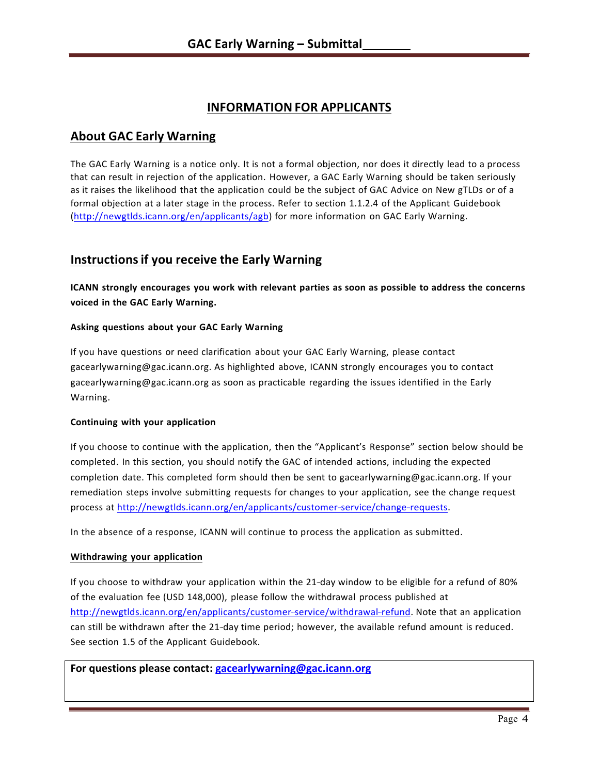# **INFORMATION FOR APPLICANTS**

# **About GAC Early Warning**

The GAC Early Warning is a notice only. It is not a formal objection, nor does it directly lead to a process that can result in rejection of the application. However, a GAC Early Warning should be taken seriously as it raises the likelihood that the application could be the subject of GAC Advice on New gTLDs or of a formal objection at a later stage in the process. Refer to section 1.1.2.4 of the Applicant Guidebook (http://newgtlds.icann.org/en/applicants/agb) for more information on GAC Early Warning.

# **Instructionsif you receive the Early Warning**

**ICANN strongly encourages you work with relevant parties as soon as possible to address the concerns voiced in the GAC Early Warning.**

### **Asking questions about your GAC Early Warning**

If you have questions or need clarification about your GAC Early Warning, please contact gacearlywarning@gac.icann.org. As highlighted above, ICANN strongly encourages you to contact gacearlywarning@gac.icann.org as soon as practicable regarding the issues identified in the Early Warning.

#### **Continuing with your application**

If you choose to continue with the application, then the "Applicant's Response" section below should be completed. In this section, you should notify the GAC of intended actions, including the expected completion date. This completed form should then be sent to gacearlywarning@gac.icann.org. If your remediation steps involve submitting requests for changes to your application, see the change request process at http://newgtlds.icann.org/en/applicants/customer-service/change-requests.

In the absence of a response, ICANN will continue to process the application as submitted.

#### **Withdrawing your application**

If you choose to withdraw your application within the 21-day window to be eligible for a refund of 80% of the evaluation fee (USD 148,000), please follow the withdrawal process published at http://newgtlds.icann.org/en/applicants/customer-service/withdrawal-refund. Note that an application can still be withdrawn after the 21-day time period; however, the available refund amount is reduced. See section 1.5 of the Applicant Guidebook.

For questions please contact: gacearlywarning@gac.icann.org